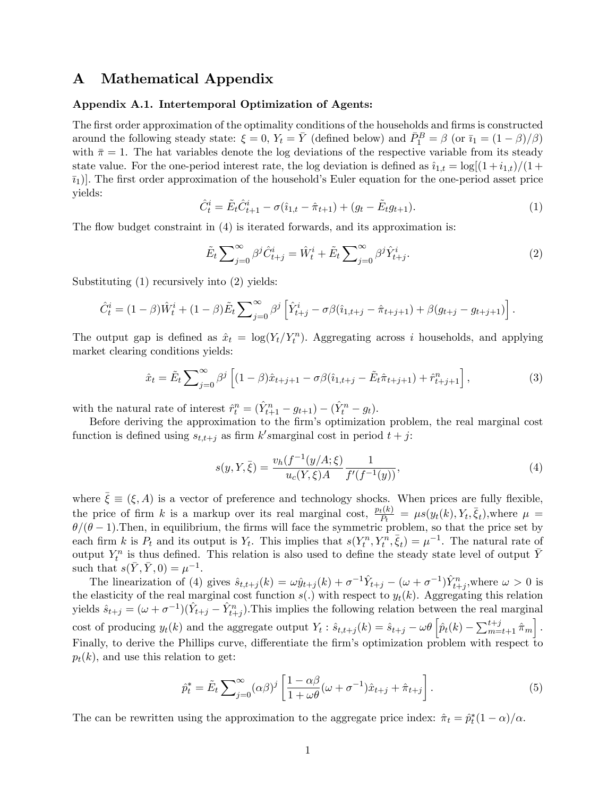# A Mathematical Appendix

## Appendix A.1. Intertemporal Optimization of Agents:

The first order approximation of the optimality conditions of the households and firms is constructed around the following steady state:  $\xi = 0$ ,  $Y_t = \overline{Y}$  (defined below) and  $\overline{P}_1^B = \beta$  (or  $\overline{i_1} = (1 - \beta)/\beta$ ) with  $\bar{\pi} = 1$ . The hat variables denote the log deviations of the respective variable from its steady state value. For the one-period interest rate, the log deviation is defined as  $\hat{i}_{1,t} = \log[(1 + i_{1,t})/(1 +$  $[\bar{i}_1]$ . The first order approximation of the household's Euler equation for the one-period asset price yields:

$$
\hat{C}_t^i = \tilde{E}_t \hat{C}_{t+1}^i - \sigma(\hat{\imath}_{1,t} - \hat{\pi}_{t+1}) + (g_t - \tilde{E}_t g_{t+1}). \tag{1}
$$

The flow budget constraint in  $(4)$  is iterated forwards, and its approximation is:

$$
\tilde{E}_t \sum_{j=0}^{\infty} \beta^j \hat{C}_{t+j}^i = \hat{W}_t^i + \tilde{E}_t \sum_{j=0}^{\infty} \beta^j \hat{Y}_{t+j}^i.
$$
\n(2)

Substituting (1) recursively into (2) yields:

$$
\hat{C}_t^i = (1 - \beta)\hat{W}_t^i + (1 - \beta)\tilde{E}_t \sum_{j=0}^{\infty} \beta^j \left[ \hat{Y}_{t+j}^i - \sigma\beta(\hat{i}_{1,t+j} - \hat{\pi}_{t+j+1}) + \beta(g_{t+j} - g_{t+j+1}) \right].
$$

The output gap is defined as  $\hat{x}_t = \log(Y_t/Y_t^n)$ . Aggregating across i households, and applying market clearing conditions yields:

$$
\hat{x}_t = \tilde{E}_t \sum_{j=0}^{\infty} \beta^j \left[ (1-\beta)\hat{x}_{t+j+1} - \sigma\beta(\hat{i}_{1,t+j} - \tilde{E}_t \hat{\pi}_{t+j+1}) + \hat{r}_{t+j+1}^n \right],\tag{3}
$$

with the natural rate of interest  $\hat{r}_t^n = (\hat{Y}_{t+1}^n - g_{t+1}) - (\hat{Y}_t^n - g_t)$ .

Before deriving the approximation to the firm's optimization problem, the real marginal cost function is defined using  $s_{t,t+j}$  as firm k'smarginal cost in period  $t+j$ :

$$
s(y, Y, \bar{\xi}) = \frac{v_h(f^{-1}(y/A; \xi)}{u_c(Y, \xi)A} \frac{1}{f'(f^{-1}(y))},
$$
\n(4)

where  $\bar{\xi} \equiv (\xi, A)$  is a vector of preference and technology shocks. When prices are fully flexible, the price of firm k is a markup over its real marginal cost,  $\frac{p_t(k)}{P_t} = \mu s(y_t(k), Y_t, \bar{\xi}_t)$ , where  $\mu =$  $\theta/(\theta - 1)$ . Then, in equilibrium, the firms will face the symmetric problem, so that the price set by each firm k is  $P_t$  and its output is  $Y_t$ . This implies that  $s(Y_t^n, Y_t^n, \bar{\xi}_t) = \mu^{-1}$ . The natural rate of output  $Y_t^n$  is thus defined. This relation is also used to define the steady state level of output  $\bar{Y}$ such that  $s(\bar{Y}, \bar{Y}, 0) = \mu^{-1}$ .

The linearization of (4) gives  $\hat{s}_{t,t+j}(k) = \omega \hat{y}_{t+j}(k) + \sigma^{-1} \hat{Y}_{t+j} - (\omega + \sigma^{-1}) \hat{Y}_{t+j}^n$ , where  $\omega > 0$  is the elasticity of the real marginal cost function  $s(.)$  with respect to  $y_t(k)$ . Aggregating this relation yields  $\hat{s}_{t+j} = (\omega + \sigma^{-1})(\hat{Y}_{t+j} - \hat{Y}_{t+j}^n)$ . This implies the following relation between the real marginal cost of producing  $y_t(k)$  and the aggregate output  $Y_t$ :  $\hat{s}_{t,t+j}(k) = \hat{s}_{t+j} - \omega \theta \left[ \hat{p}_t(k) - \sum_{m=t+1}^{t+j} \hat{\pi}_m \right]$ . Finally, to derive the Phillips curve, differentiate the firm's optimization problem with respect to  $p_t(k)$ , and use this relation to get:

$$
\hat{p}_t^* = \tilde{E}_t \sum_{j=0}^{\infty} (\alpha \beta)^j \left[ \frac{1 - \alpha \beta}{1 + \omega \theta} (\omega + \sigma^{-1}) \hat{x}_{t+j} + \hat{\pi}_{t+j} \right]. \tag{5}
$$

The can be rewritten using the approximation to the aggregate price index:  $\hat{\pi}_t = \hat{p}_t^*(1 - \alpha)/\alpha$ .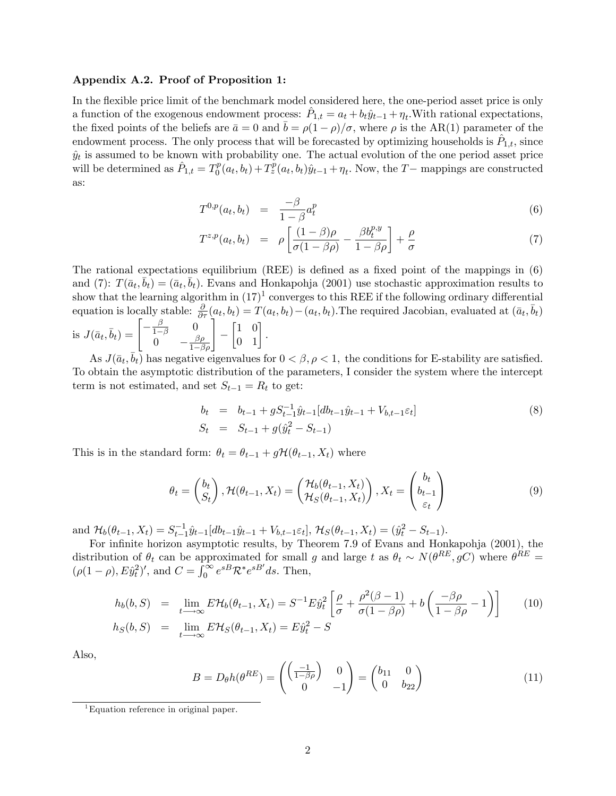#### Appendix A.2. Proof of Proposition 1:

In the flexible price limit of the benchmark model considered here, the one-period asset price is only a function of the exogenous endowment process:  $\hat{P}_{1,t} = a_t + b_t \hat{y}_{t-1} + \eta_t$ . With rational expectations, the fixed points of the beliefs are  $\bar{a} = 0$  and  $\bar{b} = \rho(1 - \rho)/\sigma$ , where  $\rho$  is the AR(1) parameter of the endowment process. The only process that will be forecasted by optimizing households is  $\hat{P}_{1,t}$ , since  $\hat{y}_t$  is assumed to be known with probability one. The actual evolution of the one period asset price will be determined as  $\hat{P}_{1,t} = T_0^p$  $\int_0^p (a_t, b_t) + T_z^p(a_t, b_t)\hat{y}_{t-1} + \eta_t$ . Now, the T – mappings are constructed as:

$$
T^{0,p}(a_t, b_t) = \frac{-\beta}{1-\beta} a_t^p \tag{6}
$$

$$
T^{z,p}(a_t, b_t) = \rho \left[ \frac{(1-\beta)\rho}{\sigma(1-\beta\rho)} - \frac{\beta b_t^{p,y}}{1-\beta\rho} \right] + \frac{\rho}{\sigma}
$$
(7)

The rational expectations equilibrium (REE) is defined as a fixed point of the mappings in  $(6)$ and (7):  $T(\bar{a}_t, \bar{b}_t) = (\bar{a}_t, \bar{b}_t)$ . Evans and Honkapohja (2001) use stochastic approximation results to show that the learning algorithm in  $(17)^1$  converges to this REE if the following ordinary differential equation is locally stable:  $\frac{\partial}{\partial \tau}(a_t, b_t) = T(a_t, b_t) - (a_t, b_t)$ . The required Jacobian, evaluated at  $(\bar{a}_t, \bar{b}_t)$ 

is 
$$
J(\bar{a}_t, \bar{b}_t) = \begin{bmatrix} -\frac{\beta}{1-\beta} & 0\\ 0 & -\frac{\beta \rho}{1-\beta \rho} \end{bmatrix} - \begin{bmatrix} 1 & 0\\ 0 & 1 \end{bmatrix}.
$$
  
As  $J(\bar{a}, \bar{b})$  has positive eigenvalues f

As  $J(\bar{a}_t, \bar{b}_t)$  has negative eigenvalues for  $0 < \beta, \rho < 1$ , the conditions for E-stability are satisfied. To obtain the asymptotic distribution of the parameters, I consider the system where the intercept term is not estimated, and set  $S_{t-1} = R_t$  to get:

$$
b_t = b_{t-1} + g S_{t-1}^{-1} \hat{y}_{t-1} [db_{t-1} \hat{y}_{t-1} + V_{b,t-1} \varepsilon_t]
$$
  
\n
$$
S_t = S_{t-1} + g(\hat{y}_t^2 - S_{t-1})
$$
\n(8)

This is in the standard form:  $\theta_t = \theta_{t-1} + g\mathcal{H}(\theta_{t-1}, X_t)$  where

$$
\theta_t = \begin{pmatrix} b_t \\ S_t \end{pmatrix}, \mathcal{H}(\theta_{t-1}, X_t) = \begin{pmatrix} \mathcal{H}_b(\theta_{t-1}, X_t) \\ \mathcal{H}_S(\theta_{t-1}, X_t) \end{pmatrix}, X_t = \begin{pmatrix} b_t \\ b_{t-1} \\ \varepsilon_t \end{pmatrix}
$$
(9)

and  $\mathcal{H}_b(\theta_{t-1}, X_t) = S_{t-1}^{-1}\hat{y}_{t-1}[db_{t-1}\hat{y}_{t-1} + V_{b,t-1}\varepsilon_t], \mathcal{H}_S(\theta_{t-1}, X_t) = (\hat{y}_t^2 - S_{t-1}).$  $t-1$ 

For infinite horizon asymptotic results, by Theorem 7.9 of Evans and Honkapohja (2001), the distribution of  $\theta_t$  can be approximated for small g and large t as  $\theta_t \sim N(\theta^{RE}, gC)$  where  $\theta^{RE} =$  $(\rho(1 - \rho), E\hat{y}_t^2)'$ , and  $C = \int_0^\infty e^{sB} \mathcal{R}^* e^{sB'} ds$ . Then,

$$
h_b(b, S) = \lim_{t \to \infty} E\mathcal{H}_b(\theta_{t-1}, X_t) = S^{-1} E \hat{y}_t^2 \left[ \frac{\rho}{\sigma} + \frac{\rho^2(\beta - 1)}{\sigma(1 - \beta \rho)} + b \left( \frac{-\beta \rho}{1 - \beta \rho} - 1 \right) \right]
$$
(10)  

$$
h_S(b, S) = \lim_{t \to \infty} E\mathcal{H}_S(\theta_{t-1}, X_t) = E \hat{y}_t^2 - S
$$

Also,

$$
B = D_{\theta}h(\theta^{RE}) = \begin{pmatrix} \begin{pmatrix} -1 \\ \frac{1}{2\beta\rho} \end{pmatrix} & 0 \\ 0 & -1 \end{pmatrix} = \begin{pmatrix} b_{11} & 0 \\ 0 & b_{22} \end{pmatrix}
$$
 (11)

 ${}^{1}$ Equation reference in original paper.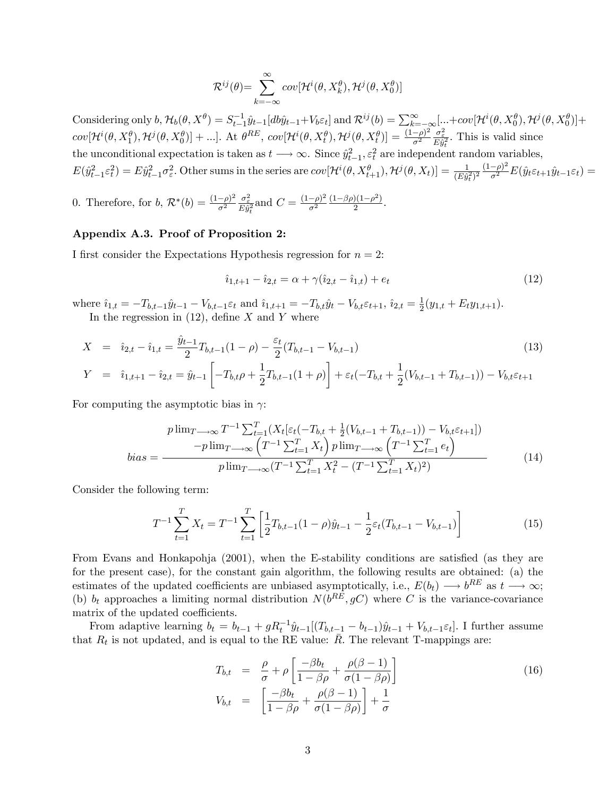$$
\mathcal{R}^{ij}(\theta) = \sum_{k=-\infty}^{\infty} cov[\mathcal{H}^{i}(\theta, X_{k}^{\theta}), \mathcal{H}^{j}(\theta, X_{0}^{\theta})]
$$

Considering only  $b, \mathcal{H}_b(\theta, X^{\theta}) = S_{t-1}^{-1}\hat{y}_{t-1}[db\hat{y}_{t-1}+V_b\varepsilon_t]$  and  $\mathcal{R}^{ij}(b) = \sum_{k=-\infty}^{\infty} [\dots + cov[\mathcal{H}^{i}(\theta, X_0^{\theta}), \mathcal{H}^{j}(\theta, X_0^{\theta})] +$  $cov[\mathcal{H}^{i}(\theta, X_1^{\theta}), \mathcal{H}^{j}(\theta, X_0^{\theta})] + ...].$  At  $\theta^{RE}$ ,  $cov[\mathcal{H}^{i}(\theta, X_t^{\theta}), \mathcal{H}^{j}(\theta, X_t^{\theta})] = \frac{(1-\rho)^2}{\sigma^2}$  $\sigma^2$  $\frac{\sigma_{\varepsilon}^2}{E\hat{y}_t^2}$ . This is valid since the unconditional expectation is taken as  $t \longrightarrow \infty$ . Since  $\hat{y}_{t-1}^2$ ,  $\varepsilon_t^2$  are independent random variables,  $E(\hat{y}_{t-1}^2 \varepsilon_t^2) = E\hat{y}_{t-1}^2 \sigma_{\varepsilon}^2$ . Other sums in the series are  $cov[\mathcal{H}^i(\theta, X_{t+1}^{\theta}), \mathcal{H}^j(\theta, X_t)] = \frac{1}{(E\hat{y}_t^2)^2} \frac{(1-\rho)^2}{\sigma^2} E(\hat{y}_t \varepsilon_{t+1} \hat{y}_{t-1} \varepsilon_t)$ 

0. Therefore, for  $b, \mathcal{R}^*(b) = \frac{(1-\rho)^2}{\sigma^2}$  $\sigma^2$  $\frac{\sigma_{\varepsilon}^2}{E\hat{y}_t^2}$  and  $C = \frac{(1-\rho)^2}{\sigma^2}$  $\frac{(-\rho)^2}{\sigma^2} \frac{(1-\beta \rho)(1-\rho^2)}{2}$  $\frac{y(1-\rho^{-})}{2}$ .

## Appendix A.3. Proof of Proposition 2:

I first consider the Expectations Hypothesis regression for  $n = 2$ :

$$
\hat{i}_{1,t+1} - \hat{i}_{2,t} = \alpha + \gamma(\hat{i}_{2,t} - \hat{i}_{1,t}) + e_t \tag{12}
$$

where  $\hat{i}_{1,t} = -T_{b,t-1}\hat{y}_{t-1} - V_{b,t-1}\varepsilon_t$  and  $\hat{i}_{1,t+1} = -T_{b,t}\hat{y}_t - V_{b,t}\varepsilon_{t+1}, \hat{i}_{2,t} = \frac{1}{2}$  $\frac{1}{2}(y_{1,t}+E_t y_{1,t+1}).$ 

In the regression in  $(12)$ , define X and Y where

$$
X = \hat{i}_{2,t} - \hat{i}_{1,t} = \frac{\hat{y}_{t-1}}{2} T_{b,t-1} (1 - \rho) - \frac{\varepsilon_t}{2} (T_{b,t-1} - V_{b,t-1})
$$
(13)  

$$
Y = \hat{i}_{1,t+1} - \hat{i}_{2,t} = \hat{y}_{t-1} \left[ -T_{b,t} \rho + \frac{1}{2} T_{b,t-1} (1 + \rho) \right] + \varepsilon_t (-T_{b,t} + \frac{1}{2} (V_{b,t-1} + T_{b,t-1})) - V_{b,t} \varepsilon_{t+1}
$$

For computing the asymptotic bias in  $\gamma$ :

$$
p \lim_{T \to \infty} T^{-1} \sum_{t=1}^{T} (X_t[\varepsilon_t(-T_{b,t} + \frac{1}{2}(V_{b,t-1} + T_{b,t-1})) - V_{b,t}\varepsilon_{t+1}])
$$

$$
-p \lim_{T \to \infty} \left(T^{-1} \sum_{t=1}^{T} X_t\right) p \lim_{T \to \infty} \left(T^{-1} \sum_{t=1}^{T} e_t\right)
$$

$$
p \lim_{T \to \infty} (T^{-1} \sum_{t=1}^{T} X_t^2 - (T^{-1} \sum_{t=1}^{T} X_t)^2)
$$
(14)

Consider the following term:

$$
T^{-1} \sum_{t=1}^{T} X_t = T^{-1} \sum_{t=1}^{T} \left[ \frac{1}{2} T_{b,t-1} (1 - \rho) \hat{y}_{t-1} - \frac{1}{2} \varepsilon_t (T_{b,t-1} - V_{b,t-1}) \right]
$$
(15)

From Evans and Honkapohja (2001), when the E-stability conditions are satisfied (as they are for the present case), for the constant gain algorithm, the following results are obtained: (a) the estimates of the updated coefficients are unbiased asymptotically, i.e.,  $E(b_t) \longrightarrow b^{RE}$  as  $t \longrightarrow \infty$ ; (b)  $b_t$  approaches a limiting normal distribution  $N(b^{RE}, gC)$  where C is the variance-covariance matrix of the updated coefficients.

From adaptive learning  $b_t = b_{t-1} + g R_t^{-1} \hat{y}_{t-1} [(T_{b,t-1} - b_{t-1}) \hat{y}_{t-1} + V_{b,t-1} \varepsilon_t].$  I further assume that  $R_t$  is not updated, and is equal to the RE value:  $\overline{R}$ . The relevant T-mappings are:

$$
T_{b,t} = \frac{\rho}{\sigma} + \rho \left[ \frac{-\beta b_t}{1 - \beta \rho} + \frac{\rho(\beta - 1)}{\sigma(1 - \beta \rho)} \right]
$$
  
\n
$$
V_{b,t} = \left[ \frac{-\beta b_t}{1 - \beta \rho} + \frac{\rho(\beta - 1)}{\sigma(1 - \beta \rho)} \right] + \frac{1}{\sigma}
$$
\n(16)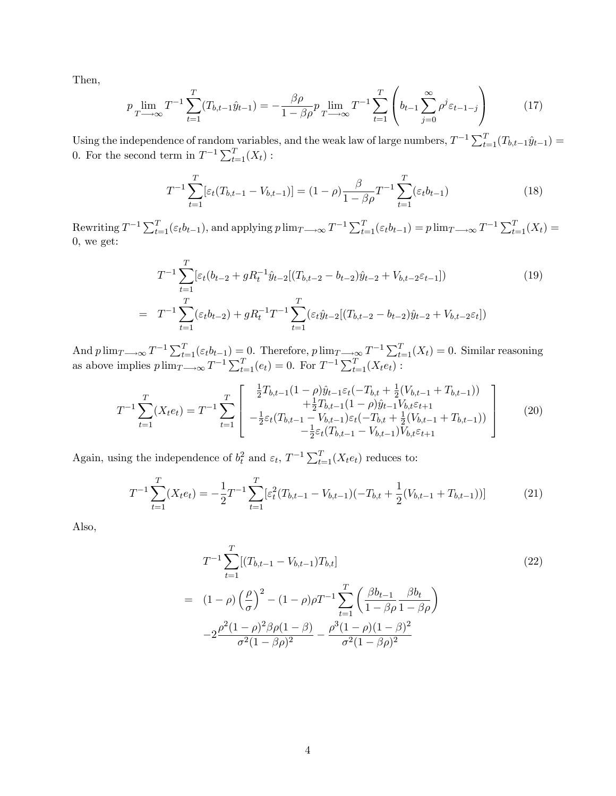Then,

$$
p \lim_{T \to \infty} T^{-1} \sum_{t=1}^{T} (T_{b,t-1} \hat{y}_{t-1}) = -\frac{\beta \rho}{1 - \beta \rho} p \lim_{T \to \infty} T^{-1} \sum_{t=1}^{T} \left( b_{t-1} \sum_{j=0}^{\infty} \rho^{j} \varepsilon_{t-1-j} \right)
$$
(17)

Using the independence of random variables, and the weak law of large numbers,  $T^{-1} \sum_{t=1}^{T} (T_{b,t-1}\hat{y}_{t-1}) =$ 0. For the second term in  $T^{-1} \sum_{t=1}^{T} (X_t)$ :

$$
T^{-1} \sum_{t=1}^{T} [\varepsilon_t (T_{b,t-1} - V_{b,t-1})] = (1 - \rho) \frac{\beta}{1 - \beta \rho} T^{-1} \sum_{t=1}^{T} (\varepsilon_t b_{t-1})
$$
(18)

Rewriting  $T^{-1} \sum_{t=1}^{T} (\varepsilon_t b_{t-1})$ , and applying  $p \lim_{T \to \infty} T^{-1} \sum_{t=1}^{T} (\varepsilon_t b_{t-1}) = p \lim_{T \to \infty} T^{-1} \sum_{t=1}^{T} (X_t) =$ 0; we get:

$$
T^{-1} \sum_{t=1}^{T} \left[ \varepsilon_t (b_{t-2} + g R_t^{-1} \hat{y}_{t-2} [(T_{b,t-2} - b_{t-2}) \hat{y}_{t-2} + V_{b,t-2} \varepsilon_{t-1}] \right) \tag{19}
$$
  
= 
$$
T^{-1} \sum_{t=1}^{T} (\varepsilon_t b_{t-2}) + g R_t^{-1} T^{-1} \sum_{t=1}^{T} (\varepsilon_t \hat{y}_{t-2} [(T_{b,t-2} - b_{t-2}) \hat{y}_{t-2} + V_{b,t-2} \varepsilon_t])
$$

And  $p \lim_{T \to \infty} T^{-1} \sum_{t=1}^{T} (\varepsilon_t b_{t-1}) = 0$ . Therefore,  $p \lim_{T \to \infty} T^{-1} \sum_{t=1}^{T} (X_t) = 0$ . Similar reasoning as above implies  $p \lim_{T \to \infty} T^{-1} \sum_{t=1}^{T} (e_t) = 0$ . For  $T^{-1} \sum_{t=1}^{T} (X_t e_t)$ :

$$
T^{-1} \sum_{t=1}^{T} (X_t e_t) = T^{-1} \sum_{t=1}^{T} \begin{bmatrix} \frac{1}{2} T_{b,t-1} (1-\rho) \hat{y}_{t-1} \varepsilon_t (-T_{b,t} + \frac{1}{2} (V_{b,t-1} + T_{b,t-1})) \\ + \frac{1}{2} T_{b,t-1} (1-\rho) \hat{y}_{t-1} V_{b,t} \varepsilon_{t+1} \\ - \frac{1}{2} \varepsilon_t (T_{b,t-1} - V_{b,t-1}) \varepsilon_t (-T_{b,t} + \frac{1}{2} (V_{b,t-1} + T_{b,t-1})) \\ - \frac{1}{2} \varepsilon_t (T_{b,t-1} - V_{b,t-1}) V_{b,t} \varepsilon_{t+1} \end{bmatrix}
$$
(20)

Again, using the independence of  $b_t^2$  and  $\varepsilon_t$ ,  $T^{-1} \sum_{t=1}^T (X_t e_t)$  reduces to:

$$
T^{-1} \sum_{t=1}^{T} (X_t e_t) = -\frac{1}{2} T^{-1} \sum_{t=1}^{T} \left[ \varepsilon_t^2 (T_{b,t-1} - V_{b,t-1}) (-T_{b,t} + \frac{1}{2} (V_{b,t-1} + T_{b,t-1})) \right]
$$
(21)

Also,

$$
T^{-1} \sum_{t=1}^{T} [(T_{b,t-1} - V_{b,t-1})T_{b,t}]
$$
\n
$$
= (1 - \rho) \left(\frac{\rho}{\sigma}\right)^2 - (1 - \rho)\rho T^{-1} \sum_{t=1}^{T} \left(\frac{\beta b_{t-1}}{1 - \beta \rho} \frac{\beta b_t}{1 - \beta \rho}\right)
$$
\n
$$
-2 \frac{\rho^2 (1 - \rho)^2 \beta \rho (1 - \beta)}{\sigma^2 (1 - \beta \rho)^2} - \frac{\rho^3 (1 - \rho)(1 - \beta)^2}{\sigma^2 (1 - \beta \rho)^2}
$$
\n(22)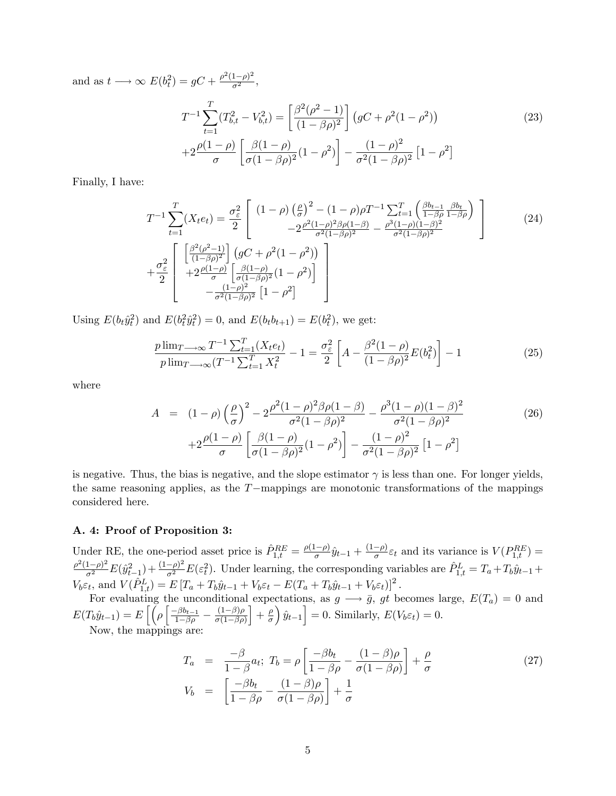and as  $t \longrightarrow \infty$   $E(b_t^2) = gC + \frac{\rho^2(1-\rho)^2}{\sigma^2}$ ,

$$
T^{-1} \sum_{t=1}^{T} (T_{b,t}^2 - V_{b,t}^2) = \left[ \frac{\beta^2 (\rho^2 - 1)}{(1 - \beta \rho)^2} \right] (gC + \rho^2 (1 - \rho^2))
$$
\n
$$
+ 2 \frac{\rho (1 - \rho)}{\sigma} \left[ \frac{\beta (1 - \rho)}{\sigma (1 - \beta \rho)^2} (1 - \rho^2) \right] - \frac{(1 - \rho)^2}{\sigma^2 (1 - \beta \rho)^2} [1 - \rho^2]
$$
\n(23)

Finally, I have:

$$
T^{-1} \sum_{t=1}^{T} (X_t e_t) = \frac{\sigma_{\varepsilon}^2}{2} \left[ \frac{(1-\rho)\left(\frac{\rho}{\sigma}\right)^2 - (1-\rho)\rho T^{-1} \sum_{t=1}^{T} \left(\frac{\beta b_{t-1}}{1-\beta\rho} \frac{\beta b_{t}}{1-\beta\rho}\right)}{-2 \frac{\rho^2 (1-\rho)^2 \beta \rho (1-\beta)}{\sigma^2 (1-\beta \rho)^2} - \frac{\rho^3 (1-\rho)(1-\beta)^2}{\sigma^2 (1-\beta \rho)^2}} \right]
$$
(24)  
+ 
$$
\frac{\sigma_{\varepsilon}^2}{2} \left[ \frac{\left[\frac{\beta^2 (\rho^2 - 1)}{(1-\beta\rho)^2}\right] \left(gC + \rho^2 (1-\rho^2)\right)}{+\frac{\beta (1-\rho)}{\sigma^2 (1-\beta \rho)^2} (1-\rho^2)\right]} - \frac{(1-\rho)^2}{\sigma^2 (1-\beta \rho)^2} \left[1-\rho^2\right]
$$

Using  $E(b_t\hat{y}_t^2)$  and  $E(b_t^2\hat{y}_t^2) = 0$ , and  $E(b_tb_{t+1}) = E(b_t^2)$ , we get:

$$
\frac{p \lim_{T \to \infty} T^{-1} \sum_{t=1}^{T} (X_t e_t)}{p \lim_{T \to \infty} (T^{-1} \sum_{t=1}^{T} X_t^2)} - 1 = \frac{\sigma_{\varepsilon}^2}{2} \left[ A - \frac{\beta^2 (1 - \rho)}{(1 - \beta \rho)^2} E(b_t^2) \right] - 1 \tag{25}
$$

where

$$
A = (1 - \rho) \left(\frac{\rho}{\sigma}\right)^2 - 2 \frac{\rho^2 (1 - \rho)^2 \beta \rho (1 - \beta)}{\sigma^2 (1 - \beta \rho)^2} - \frac{\rho^3 (1 - \rho)(1 - \beta)^2}{\sigma^2 (1 - \beta \rho)^2} + 2 \frac{\rho (1 - \rho)}{\sigma} \left[\frac{\beta (1 - \rho)}{\sigma (1 - \beta \rho)^2} (1 - \rho^2)\right] - \frac{(1 - \rho)^2}{\sigma^2 (1 - \beta \rho)^2} [1 - \rho^2]
$$
(26)

is negative. Thus, the bias is negative, and the slope estimator  $\gamma$  is less than one. For longer yields, the same reasoning applies, as the  $T$ -mappings are monotonic transformations of the mappings considered here.

#### A. 4: Proof of Proposition 3:

Under RE, the one-period asset price is  $\hat{P}^{RE}_{1,t} = \frac{\rho(1-\rho)}{\sigma} \hat{y}_{t-1} + \frac{(1-\rho)}{\sigma} \varepsilon_t$  and its variance is  $V(P^{RE}_{1,t}) =$  $\frac{\rho^2(1-\rho)^2}{\sigma^2}E(\hat{y}_{t-1}^2) + \frac{(1-\rho)^2}{\sigma^2}E(\varepsilon_t^2)$ . Under learning, the corresponding variables are  $\hat{P}_{1,t}^L = T_a + T_b\hat{y}_{t-1} + T_b\hat{y}_{t-1}$  $t-1$  $V_b \varepsilon_t$ , and  $V(\hat{P}_{1,t}^L) = E [T_a + T_b \hat{y}_{t-1} + V_b \varepsilon_t - E(T_a + T_b \hat{y}_{t-1} + V_b \varepsilon_t)]^2$ .

For evaluating the unconditional expectations, as  $g \longrightarrow \bar{g}$ , gt becomes large,  $E(T_a) = 0$  and  $E(T_b\hat{y}_{t-1}) = E\left[\left(\rho \left[\frac{-\beta b_{t-1}}{1-\beta \rho} - \frac{(1-\beta)\rho}{\sigma(1-\beta \rho)}\right]\right]\right]$  $\sigma(1-\beta\rho)$  $+\frac{\rho}{a}$  $\sigma$  $\hat{y}_{t-1}$  = 0. Similarly,  $E(V_b \varepsilon_t) = 0$ . Now, the mappings are:

$$
T_a = \frac{-\beta}{1-\beta} a_t; \ T_b = \rho \left[ \frac{-\beta b_t}{1-\beta \rho} - \frac{(1-\beta)\rho}{\sigma(1-\beta \rho)} \right] + \frac{\rho}{\sigma}
$$
  
\n
$$
V_b = \left[ \frac{-\beta b_t}{1-\beta \rho} - \frac{(1-\beta)\rho}{\sigma(1-\beta \rho)} \right] + \frac{1}{\sigma}
$$
\n(27)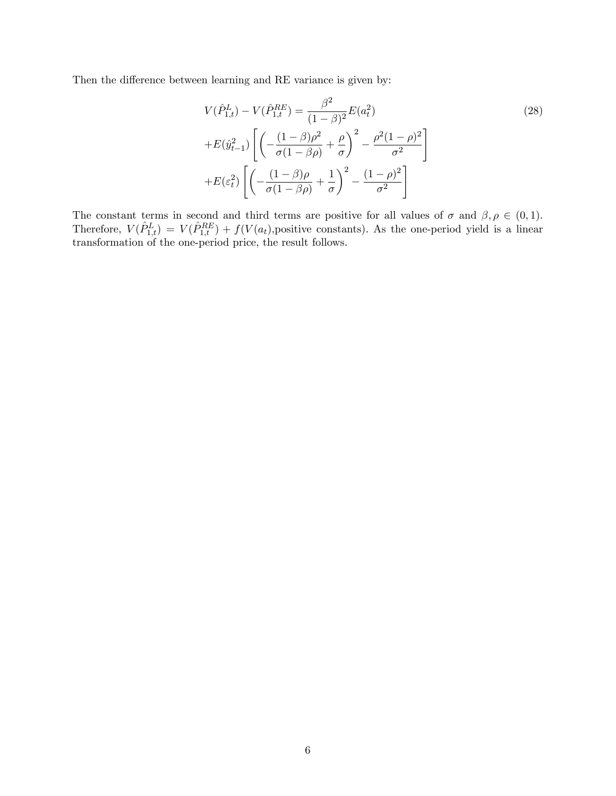Then the difference between learning and RE variance is given by:

$$
V(\hat{P}_{1,t}^{L}) - V(\hat{P}_{1,t}^{RE}) = \frac{\beta^{2}}{(1-\beta)^{2}} E(a_{t}^{2})
$$
  
+
$$
E(\hat{y}_{t-1}^{2}) \left[ \left( -\frac{(1-\beta)\rho^{2}}{\sigma(1-\beta\rho)} + \frac{\rho}{\sigma} \right)^{2} - \frac{\rho^{2}(1-\rho)^{2}}{\sigma^{2}} \right]
$$
  
+
$$
E(\varepsilon_{t}^{2}) \left[ \left( -\frac{(1-\beta)\rho}{\sigma(1-\beta\rho)} + \frac{1}{\sigma} \right)^{2} - \frac{(1-\rho)^{2}}{\sigma^{2}} \right]
$$
 (28)

The constant terms in second and third terms are positive for all values of  $\sigma$  and  $\beta, \rho \in (0, 1)$ . Therefore,  $V(\hat{P}_{1,t}^L) = V(\hat{P}_{1,t}^{RE}) + f(V(a_t))$ , positive constants). As the one-period yield is a linear transformation of the one-period price, the result follows.